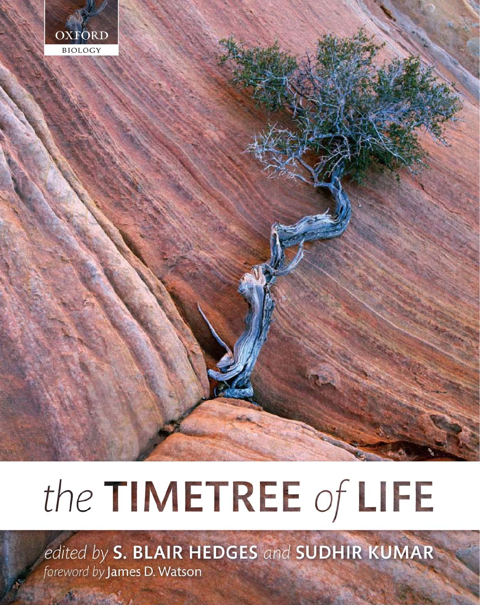

# the TIMETREE of LIFE

edited by S. BLAIR HEDGES and SUDHIR KUMAR foreword by James D. Watson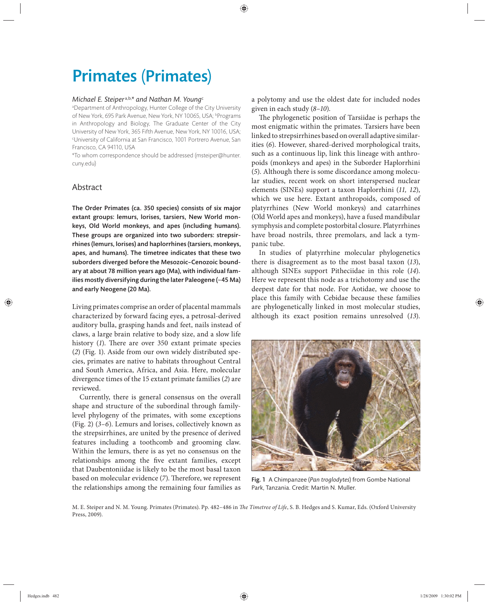# Primates (Primates)

# *Michael E. Steiper* a,b,*\* and Nathan M. Young*<sup>c</sup>

a Department of Anthropology, Hunter College of the City University of New York, 695 Park Avenue, New York, NY 10065, USA; bPrograms in Anthropology and Biology, The Graduate Center of the City University of New York, 365 Fifth Avenue, New York, NY 10016, USA; c University of California at San Francisco, 1001 Portrero Avenue, San Francisco, CA 94110, USA

\*To whom correspondence should be addressed (msteiper@hunter. cuny.edu)

# Abstract

The Order Primates (ca. 350 species) consists of six major extant groups: lemurs, lorises, tarsiers, New World monkeys, Old World monkeys, and apes (including humans). These groups are organized into two suborders: strepsirrhines (lemurs, lorises) and haplorrhines (tarsiers, monkeys, apes, and humans). The timetree indicates that these two suborders diverged before the Mesozoic–Cenozoic boundary at about 78 million years ago (Ma), with individual families mostly diversifying during the later Paleogene (~45 Ma) and early Neogene (20 Ma).

Living primates comprise an order of placental mammals characterized by forward facing eyes, a petrosal-derived auditory bulla, grasping hands and feet, nails instead of claws, a large brain relative to body size, and a slow life history (1). There are over 350 extant primate species (*2*) (Fig. 1). Aside from our own widely distributed species, primates are native to habitats throughout Central and South America, Africa, and Asia. Here, molecular divergence times of the 15 extant primate families (*2*) are reviewed.

Currently, there is general consensus on the overall shape and structure of the subordinal through familylevel phylogeny of the primates, with some exceptions (Fig. 2) (*3–6*). Lemurs and lorises, collectively known as the strepsirrhines, are united by the presence of derived features including a toothcomb and grooming claw. Within the lemurs, there is as yet no consensus on the relationships among the five extant families, except that Daubentoniidae is likely to be the most basal taxon based on molecular evidence (7). Therefore, we represent the relationships among the remaining four families as

a polytomy and use the oldest date for included nodes given in each study (*8–10*).

The phylogenetic position of Tarsiidae is perhaps the most enigmatic within the primates. Tarsiers have been linked to strepsirrhines based on overall adaptive similarities (*6*). However, shared-derived morphological traits, such as a continuous lip, link this lineage with anthropoids (monkeys and apes) in the Suborder Haplorrhini (*5*). Although there is some discordance among molecular studies, recent work on short interspersed nuclear elements (SINEs) support a taxon Haplorrhini (*11, 12*), which we use here. Extant anthropoids, composed of platyrrhines (New World monkeys) and catarrhines (Old World apes and monkeys), have a fused mandibular symphysis and complete postorbital closure. Platyrrhines have broad nostrils, three premolars, and lack a tympanic tube.

In studies of platyrrhine molecular phylogenetics there is disagreement as to the most basal taxon (*13*), although SINEs support Pitheciidae in this role (*14*). Here we represent this node as a trichotomy and use the deepest date for that node. For Aotidae, we choose to place this family with Cebidae because these families are phylogenetically linked in most molecular studies, although its exact position remains unresolved (*13*).



Fig. 1 A Chimpanzee (*Pan troglodytes*) from Gombe National Park, Tanzania. Credit: Martin N. Muller.

M. E. Steiper and N. M. Young. Primates (Primates). Pp. 482-486 in *The Timetree of Life*, S. B. Hedges and S. Kumar, Eds. (Oxford University Press, 2009).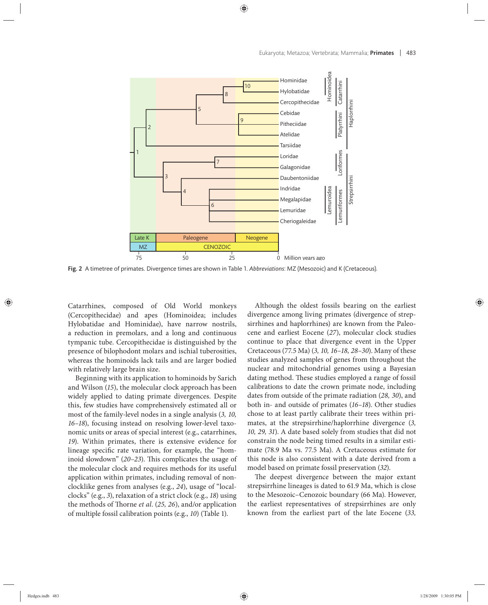

Fig. 2 A timetree of primates. Divergence times are shown in Table 1. *Abbreviations*: MZ (Mesozoic) and K (Cretaceous).

Catarrhines, composed of Old World monkeys (Cercopithecidae) and apes (Hominoidea; includes Hylobatidae and Hominidae), have narrow nostrils, a reduction in premolars, and a long and continuous tympanic tube. Cercopithecidae is distinguished by the presence of bilophodont molars and ischial tuberosities, whereas the hominoids lack tails and are larger bodied with relatively large brain size.

Beginning with its application to hominoids by Sarich and Wilson (*15*), the molecular clock approach has been widely applied to dating primate divergences. Despite this, few studies have comprehensively estimated all or most of the family-level nodes in a single analysis (*3, 10, 16–18*), focusing instead on resolving lower-level taxonomic units or areas of special interest (e.g., catarrhines, *19*). Within primates, there is extensive evidence for lineage specific rate variation, for example, the "hominoid slowdown" (20-23). This complicates the usage of the molecular clock and requires methods for its useful application within primates, including removal of nonclocklike genes from analyses (e.g., *24*), usage of "localclocks" (e.g., *3*), relaxation of a strict clock (e.g., *18*) using the methods of Thorne *et al.* (25, 26), and/or application of multiple fossil calibration points (e.g., *10*) (Table 1).

Although the oldest fossils bearing on the earliest divergence among living primates (divergence of strepsirrhines and haplorrhines) are known from the Paleocene and earliest Eocene (*27*), molecular clock studies continue to place that divergence event in the Upper Cretaceous (77.5 Ma) (*3, 10, 16–18, 28–30*). Many of these studies analyzed samples of genes from throughout the nuclear and mitochondrial genomes using a Bayesian dating method. These studies employed a range of fossil calibrations to date the crown primate node, including dates from outside of the primate radiation (*28, 30*), and both in- and outside of primates (*16–18*). Other studies chose to at least partly calibrate their trees within primates, at the strepsirrhine/haplorrhine divergence (*3, 10, 29, 31*). A date based solely from studies that did not constrain the node being timed results in a similar estimate (78.9 Ma vs. 77.5 Ma). A Cretaceous estimate for this node is also consistent with a date derived from a model based on primate fossil preservation (*32*).

The deepest divergence between the major extant strepsirrhine lineages is dated to 61.9 Ma, which is close to the Mesozoic–Cenozoic boundary (66 Ma). However, the earliest representatives of strepsirrhines are only known from the earliest part of the late Eocene (*33,*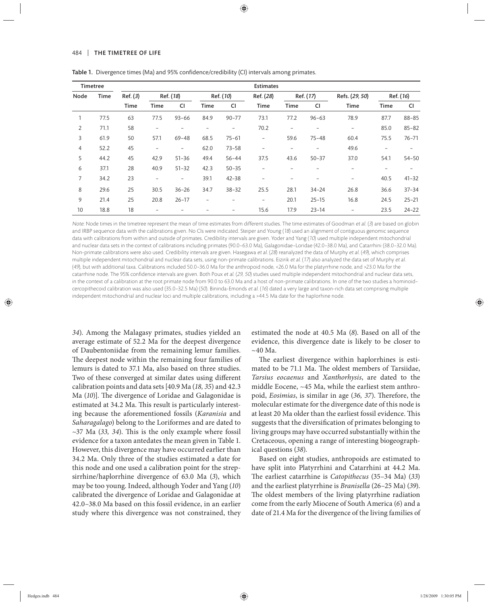#### 484 | THE TIMETREE OF LIFE

| <b>Timetree</b> |             | <b>Estimates</b> |                          |                          |                          |                   |                          |                          |                          |                          |                          |                          |
|-----------------|-------------|------------------|--------------------------|--------------------------|--------------------------|-------------------|--------------------------|--------------------------|--------------------------|--------------------------|--------------------------|--------------------------|
| Node            | <b>Time</b> | Ref. (3)<br>Time | Ref. (18)                |                          | Ref. (10)                |                   | Ref. (28)                | Ref. (17)                |                          | Refs. (29, 50)           | Ref. (16)                |                          |
|                 |             |                  | <b>Time</b>              | <b>CI</b>                | Time                     | <b>CI</b>         | Time                     | <b>Time</b>              | <b>CI</b>                | Time                     | Time                     | <b>CI</b>                |
|                 | 77.5        | 63               | 77.5                     | $93 - 66$                | 84.9                     | $90 - 77$         | 73.1                     | 77.2                     | $96 - 63$                | 78.9                     | 87.7                     | $88 - 85$                |
| 2               | 71.1        | 58               | $\overline{\phantom{a}}$ |                          | $\overline{\phantom{a}}$ | $\qquad \qquad -$ | 70.2                     | $\overline{\phantom{a}}$ | $\overline{\phantom{a}}$ | $\overline{\phantom{a}}$ | 85.0                     | $85 - 82$                |
| 3               | 61.9        | 50               | 57.1                     | $69 - 48$                | 68.5                     | $75 - 61$         | $\overline{\phantom{a}}$ | 59.6                     | $75 - 48$                | 60.4                     | 75.5                     | $76 - 71$                |
| 4               | 52.2        | 45               | $\overline{\phantom{a}}$ | $\overline{\phantom{a}}$ | 62.0                     | $73 - 58$         | $\qquad \qquad -$        | $\overline{\phantom{a}}$ | $\overline{\phantom{a}}$ | 49.6                     | $\overline{\phantom{a}}$ | $\overline{\phantom{a}}$ |
| 5               | 44.2        | 45               | 42.9                     | $51 - 36$                | 49.4                     | $56 - 44$         | 37.5                     | 43.6                     | $50 - 37$                | 37.0                     | 54.1                     | $54 - 50$                |
| 6               | 37.1        | 28               | 40.9                     | $51 - 32$                | 42.3                     | $50 - 35$         | $\overline{a}$           |                          |                          | $\overline{\phantom{0}}$ | $\overline{\phantom{m}}$ |                          |
| $\overline{7}$  | 34.2        | 23               | $\overline{\phantom{a}}$ | $\overline{\phantom{a}}$ | 39.1                     | $42 - 38$         |                          |                          |                          | $\overline{\phantom{a}}$ | 40.5                     | $41 - 32$                |
| 8               | 29.6        | 25               | 30.5                     | $36 - 26$                | 34.7                     | $38 - 32$         | 25.5                     | 28.1                     | $34 - 24$                | 26.8                     | 36.6                     | $37 - 34$                |
| 9               | 21.4        | 25               | 20.8                     | $26 - 17$                | $\overline{\phantom{a}}$ |                   | $\overline{a}$           | 20.1                     | $25 - 15$                | 16.8                     | 24.5                     | $25 - 21$                |
| 10              | 18.8        | 18               |                          |                          |                          |                   | 15.6                     | 17.9                     | $23 - 14$                | $\overline{\phantom{0}}$ | 23.5                     | $24 - 22$                |

Table 1. Divergence times (Ma) and 95% confidence/credibility (CI) intervals among primates.

Note: Node times in the timetree represent the mean of time estimates from different studies. The time estimates of Goodman et al. (3) are based on globin and IRBP sequence data with the calibrations given. No CIs were indicated. Steiper and Young (18) used an alignment of contiguous genomic sequence data with calibrations from within and outside of primates. Credibility intervals are given. Yoder and Yang (10) used multiple independent mitochondrial and nuclear data sets in the context of calibrations including primates (90.0–63.0 Ma), Galagonidae–Loridae (42.0–38.0 Ma), and Catarrhini (38.0–32.0 Ma). Non-primate calibrations were also used. Credibility intervals are given. Hasegawa et al. (28) reanalyzed the data of Murphy et al. (49), which comprises multiple independent mitochondrial and nuclear data sets, using non-primate calibrations. Eizirik et al. (17) also analyzed the data set of Murphy et al. (49), but with additional taxa. Calibrations included 50.0–36.0 Ma for the anthropoid node, <26.0 Ma for the platyrrhine node, and >23.0 Ma for the catarrhine node. The 95% confidence intervals are given. Both Poux et al. (29, 50) studies used multiple independent mitochondrial and nuclear data sets, in the context of a calibration at the root primate node from 90.0 to 63.0 Ma and a host of non-primate calibrations. In one of the two studies a hominoid– cercopithecoid calibration was also used (35.0–32.5 Ma) (50). Bininda-Emonds et al. (16) dated a very large and taxon-rich data set comprising multiple independent mitochondrial and nuclear loci and multiple calibrations, including a >44.5 Ma date for the haplorhine node.

34). Among the Malagasy primates, studies yielded an average estimate of 52.2 Ma for the deepest divergence of Daubentoniidae from the remaining lemur families. The deepest node within the remaining four families of lemurs is dated to 37.1 Ma, also based on three studies. Two of these converged at similar dates using different calibration points and data sets [40.9 Ma (*18, 35*) and 42.3 Ma (10)]. The divergence of Loridae and Galagonidae is estimated at 34.2 Ma. This result is particularly interesting because the aforementioned fossils (*Karanisia* and *Saharagalago*) belong to the Loriformes and are dated to  $\sim$ 37 Ma (33, 34). This is the only example where fossil evidence for a taxon antedates the mean given in Table 1. However, this divergence may have occurred earlier than 34.2 Ma. Only three of the studies estimated a date for this node and one used a calibration point for the strepsirrhine/haplorrhine divergence of 63.0 Ma (*3*), which may be too young. Indeed, although Yoder and Yang (*10*) calibrated the divergence of Loridae and Galagonidae at 42.0–38.0 Ma based on this fossil evidence, in an earlier study where this divergence was not constrained, they

estimated the node at 40.5 Ma (*8*). Based on all of the evidence, this divergence date is likely to be closer to ~40 Ma.

The earliest divergence within haplorrhines is estimated to be 71.1 Ma. The oldest members of Tarsiidae, *Tarsius eocaenus* and *Xanthorhysis*, are dated to the middle Eocene, ~45 Ma, while the earliest stem anthropoid, *Eosimias*, is similar in age (36, 37). Therefore, the molecular estimate for the divergence date of this node is at least 20 Ma older than the earliest fossil evidence. This suggests that the diversification of primates belonging to living groups may have occurred substantially within the Cretaceous, opening a range of interesting biogeographical questions (*38*).

Based on eight studies, anthropoids are estimated to have split into Platyrrhini and Catarrhini at 44.2 Ma. The earliest catarrhine is *Catopithecus* (35–34 Ma) (33) and the earliest platyrrhine is *Branisella* (26–25 Ma) (*39*). The oldest members of the living platyrrhine radiation come from the early Miocene of South America (*6*) and a date of 21.4 Ma for the divergence of the living families of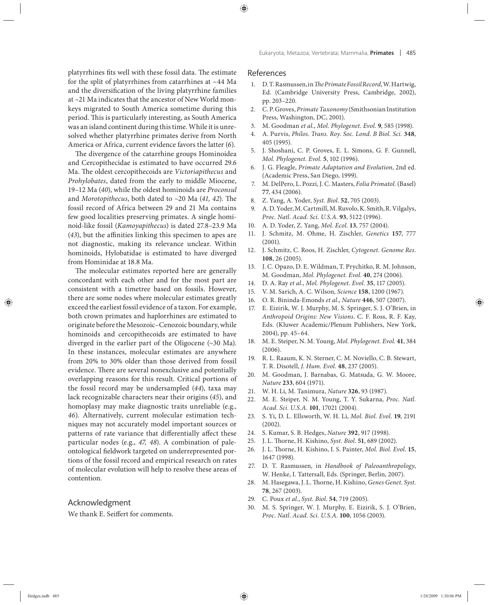platyrrhines fits well with these fossil data. The estimate for the split of platyrrhines from catarrhines at ~44 Ma and the diversification of the living platyrrhine families at ~21 Ma indicates that the ancestor of New World monkeys migrated to South America sometime during this period. This is particularly interesting, as South America was an island continent during this time. While it is unresolved whether platyrrhine primates derive from North America or Africa, current evidence favors the latter (*6*).

The divergence of the catarrhine groups Hominoidea and Cercopithecidae is estimated to have occurred 29.6 Ma. The oldest cercopithecoids are *Victoriapithecus* and *Prohylobates*, dated from the early to middle Miocene, 19–12 Ma (*40*), while the oldest hominoids are *Proconsul* and *Morotopithecus*, both dated to  $\sim$ 20 Ma (41, 42). The fossil record of Africa between 29 and 21 Ma contains few good localities preserving primates. A single hominoid-like fossil (*Kamoyapithecus*) is dated 27.8–23.9 Ma (43), but the affinities linking this specimen to apes are not diagnostic, making its relevance unclear. Within hominoids, Hylobatidae is estimated to have diverged from Hominidae at 18.8 Ma.

The molecular estimates reported here are generally concordant with each other and for the most part are consistent with a timetree based on fossils. However, there are some nodes where molecular estimates greatly exceed the earliest fossil evidence of a taxon. For example, both crown primates and haplorrhines are estimated to originate before the Mesozoic–Cenozoic boundary, while hominoids and cercopithecoids are estimated to have diverged in the earlier part of the Oligocene (~30 Ma). In these instances, molecular estimates are anywhere from 20% to 30% older than those derived from fossil evidence. There are several nonexclusive and potentially overlapping reasons for this result. Critical portions of the fossil record may be undersampled (*44*), taxa may lack recognizable characters near their origins (*45*), and homoplasy may make diagnostic traits unreliable (e.g., *46*). Alternatively, current molecular estimation techniques may not accurately model important sources or patterns of rate variance that differentially affect these particular nodes (e.g., *47, 48*). A combination of paleontological fieldwork targeted on underrepresented portions of the fossil record and empirical research on rates of molecular evolution will help to resolve these areas of contention.

## Acknowledgment

We thank E. Seiffert for comments.

# References

- 1. D. T. Rasmussen, in *The Primate Fossil Record*, W. Hartwig, Ed. (Cambridge University Press, Cambridge, 2002), pp. 203–220.
- 2. C. P. Groves, *Primate Taxonomy* (Smithsonian Institution Press, Washington, DC, 2001).
- 3. M. Goodman *et al.*, *Mol. Phylogenet. Evol.* **9**, 585 (1998).
- 4. A. Purvis, *Philos*. *Trans. Roy. Soc. Lond. B Biol. Sci.* **348**, 405 (1995).
- 5. J. Shoshani, C. P. Groves, E. L. Simons, G. F. Gunnell, *Mol. Phylogenet. Evol.* **5**, 102 (1996).
- 6. J. G. Fleagle, *Primate Adaptation and Evolution*, 2nd ed. (Academic Press, San Diego, 1999).
- 7. M. DelPero, L. Pozzi, J. C. Masters, *Folia Primatol.* (Basel) **77**, 434 (2006).
- 8. Z. Yang, A. Yoder, *Syst. Biol*. **52**, 705 (2003).
- 9. A. D. Yoder, M. Cartmill, M. Ruvolo, K. Smith, R. Vilgalys, *Proc. Natl. Acad. Sci. U.S.A.* **93**, 5122 (1996).
- 10. A. D. Yoder, Z. Yang, *Mol. Ecol*. **13**, 757 (2004).
- 11. J. Schmitz, M. Ohme, H. Zischler, *Genetics* **157**, 777 (2001).
- 12. J. Schmitz, C. Roos, H. Zischler, *Cytogenet. Genome Res*. **108**, 26 (2005).
- 13. J. C. Opazo, D. E. Wildman, T. Prychitko, R. M. Johnson, M. Goodman, *Mol. Phylogenet. Evol*. **40**, 274 (2006).
- 14. D. A. Ray *et al.*, *Mol. Phylogenet. Evol*. **35**, 117 (2005).
- 15. V. M. Sarich, A. C. Wilson, *Science* **158**, 1200 (1967).
- 16. O. R. Bininda-Emonds *et al.*, *Nature* **446**, 507 (2007).
- 17. E. Eizirik, W. J. Murphy, M. S. Springer, S. J. O'Brien, in *Anthropoid Origins: New Visions*. C. F. Ross, R. F. Kay, Eds. (Kluwer Academic/Plenum Publishers, New York, 2004), pp. 45–64.
- 18. M. E. Steiper, N. M. Young, *Mol. Phylogenet. Evol*. **41**, 384 (2006).
- 19. R. L. Raaum, K. N. Sterner, C. M. Noviello, C. B. Stewart, T. R. Disotell, *J. Hum. Evol.* **48**, 237 (2005).
- 20. M. Goodman, J. Barnabas, G. Matsuda, G. W. Moore, *Nature* **233**, 604 (1971).
- 21. W. H. Li, M. Tanimura, *Nature* **326**, 93 (1987).
- 22. M. E. Steiper, N. M. Young, T. Y. Sukarna, *Proc. Natl. Acad. Sci. U.S.A.* **101**, 17021 (2004).
- 23. S. Yi, D. L. Ellsworth, W. H. Li, *Mol. Biol. Evol*. **19**, 2191 (2002).
- 24. S. Kumar, S. B. Hedges, *Nature* **392**, 917 (1998).
- 25. J. L. Thorne, H. Kishino, *Syst. Biol.* 51, 689 (2002).
- 26. J. L. Thorne, H. Kishino, I. S. Painter, *Mol. Biol. Evol.* 15, 1647 (1998).
- 27. D. T. Rasmussen, in *Handbook of Paleoanthropology*, W. Henke, I. Tattersall, Eds. (Springer, Berlin, 2007).
- 28. M. Hasegawa, J. L. Thorne, H. Kishino, *Genes Genet. Syst.* **78**, 267 (2003).
- 29. C. Poux *et al.*, *Syst. Biol*. **54**, 719 (2005).
- 30. M. S. Springer, W. J. Murphy, E. Eizirik, S. J. O'Brien, *Proc. Natl. Acad. Sci. U.S.A.* **100**, 1056 (2003).